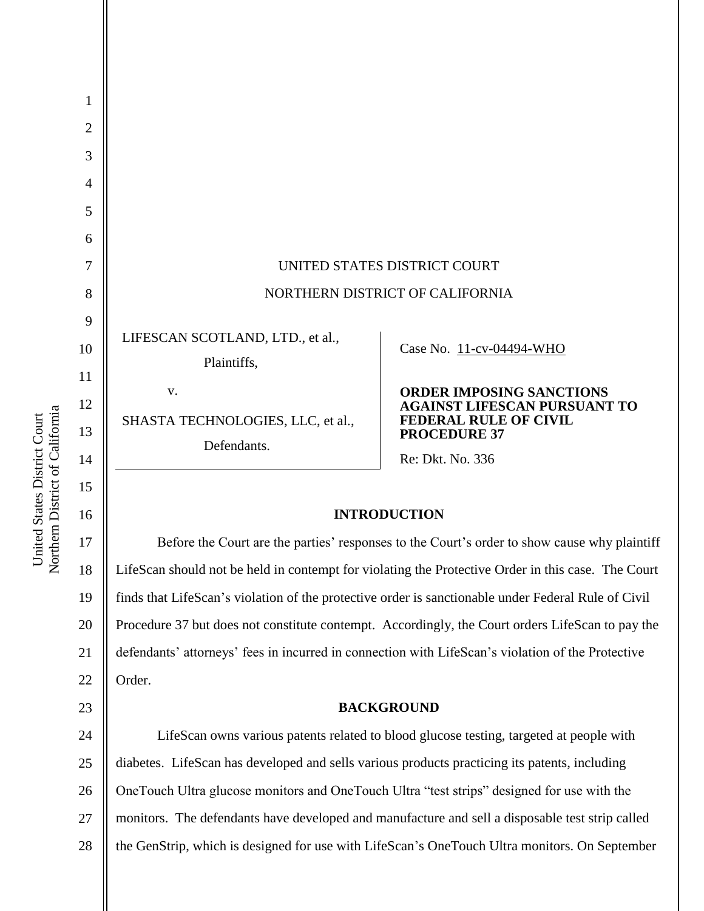| UNITED STATES DISTRICT COURT |                                                                                                           |
|------------------------------|-----------------------------------------------------------------------------------------------------------|
|                              | NORTHERN DISTRICT OF CALIFORNIA                                                                           |
|                              |                                                                                                           |
|                              | Case No. 11-cv-04494-WHO                                                                                  |
|                              |                                                                                                           |
|                              | <b>ORDER IMPOSING SANCTIONS</b><br><b>AGAINST LIFESCAN PURSUANT TO</b>                                    |
|                              | <b>FEDERAL RULE OF CIVIL</b><br><b>PROCEDURE 37</b>                                                       |
|                              | Re: Dkt. No. 336                                                                                          |
|                              | LIFESCAN SCOTLAND, LTD., et al.,<br>Plaintiffs,<br>V.<br>SHASTA TECHNOLOGIES, LLC, et al.,<br>Defendants. |

# **INTRODUCTION**

20 22 Before the Court are the parties' responses to the Court's order to show cause why plaintiff LifeScan should not be held in contempt for violating the Protective Order in this case. The Court finds that LifeScan's violation of the protective order is sanctionable under Federal Rule of Civil Procedure 37 but does not constitute contempt. Accordingly, the Court orders LifeScan to pay the defendants' attorneys' fees in incurred in connection with LifeScan's violation of the Protective Order.

#### **BACKGROUND**

24 25 26 27 28 LifeScan owns various patents related to blood glucose testing, targeted at people with diabetes. LifeScan has developed and sells various products practicing its patents, including OneTouch Ultra glucose monitors and OneTouch Ultra "test strips" designed for use with the monitors. The defendants have developed and manufacture and sell a disposable test strip called the GenStrip, which is designed for use with LifeScan's OneTouch Ultra monitors. On September

Northern District of California Northern District of California United States District Court United States District Court

15

16

17

18

19

21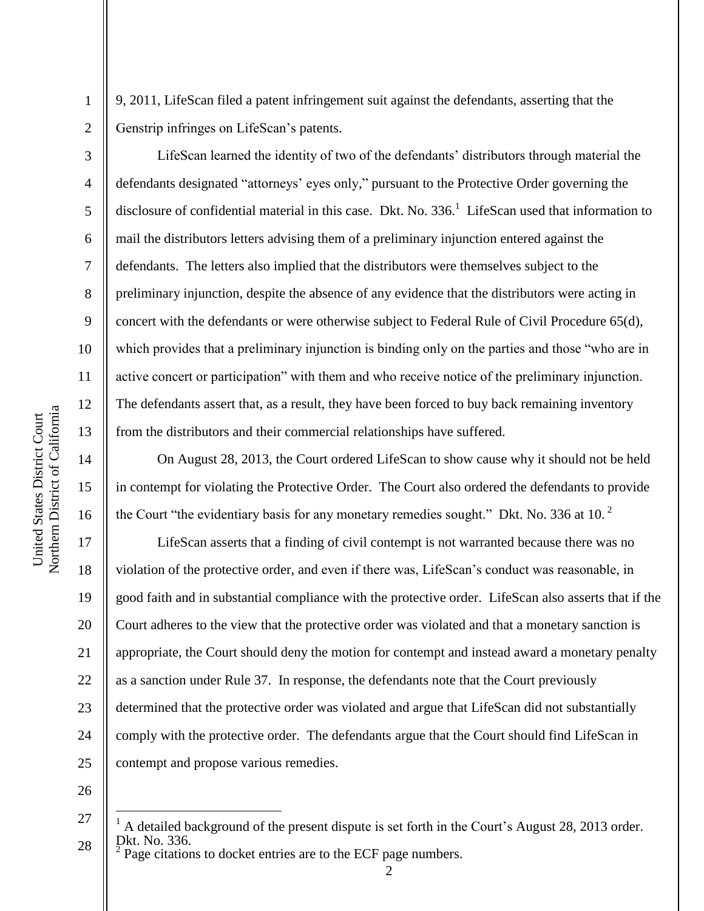9, 2011, LifeScan filed a patent infringement suit against the defendants, asserting that the Genstrip infringes on LifeScan's patents.

LifeScan learned the identity of two of the defendants' distributors through material the defendants designated "attorneys' eyes only," pursuant to the Protective Order governing the disclosure of confidential material in this case. Dkt. No. 336.<sup>1</sup> LifeScan used that information to mail the distributors letters advising them of a preliminary injunction entered against the defendants. The letters also implied that the distributors were themselves subject to the preliminary injunction, despite the absence of any evidence that the distributors were acting in concert with the defendants or were otherwise subject to Federal Rule of Civil Procedure 65(d), which provides that a preliminary injunction is binding only on the parties and those "who are in active concert or participation" with them and who receive notice of the preliminary injunction. The defendants assert that, as a result, they have been forced to buy back remaining inventory from the distributors and their commercial relationships have suffered.

On August 28, 2013, the Court ordered LifeScan to show cause why it should not be held in contempt for violating the Protective Order. The Court also ordered the defendants to provide the Court "the evidentiary basis for any monetary remedies sought." Dkt. No. 336 at 10. $<sup>2</sup>$ </sup>

20 22 24 LifeScan asserts that a finding of civil contempt is not warranted because there was no violation of the protective order, and even if there was, LifeScan's conduct was reasonable, in good faith and in substantial compliance with the protective order. LifeScan also asserts that if the Court adheres to the view that the protective order was violated and that a monetary sanction is appropriate, the Court should deny the motion for contempt and instead award a monetary penalty as a sanction under Rule 37. In response, the defendants note that the Court previously determined that the protective order was violated and argue that LifeScan did not substantially comply with the protective order. The defendants argue that the Court should find LifeScan in contempt and propose various remedies.

26

 $\overline{a}$ 

25

Page citations to docket entries are to the ECF page numbers.

Northern District of California Northern District of California United States District Court United States District Court

1

2

3

4

5

6

7

8

9

10

11

12

13

14

15

16

17

18

19

21

<sup>27</sup> 28 <sup>1</sup> A detailed background of the present dispute is set forth in the Court's August 28, 2013 order. Dkt. No. 336.  $\overline{2}$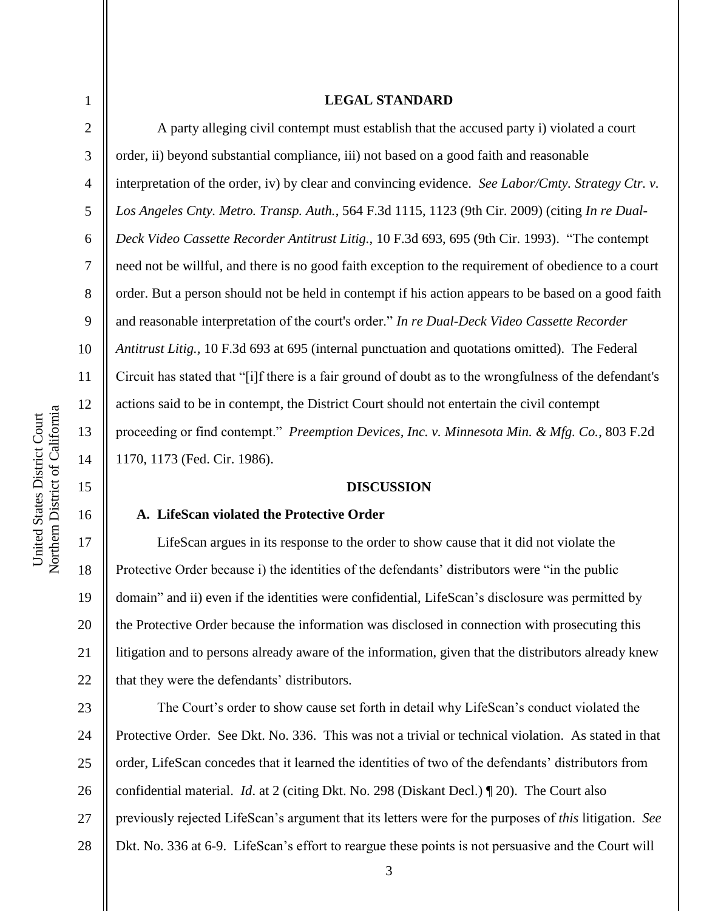3

4

5

6

7

8

9

10

11

12

13

14

15

16

17

18

19

20

21

22

#### **LEGAL STANDARD**

A party alleging civil contempt must establish that the accused party i) violated a court order, ii) beyond substantial compliance, iii) not based on a good faith and reasonable interpretation of the order, iv) by clear and convincing evidence. *See Labor/Cmty. Strategy Ctr. v. Los Angeles Cnty. Metro. Transp. Auth.*, 564 F.3d 1115, 1123 (9th Cir. 2009) (citing *In re Dual-Deck Video Cassette Recorder Antitrust Litig.,* 10 F.3d 693, 695 (9th Cir. 1993). "The contempt need not be willful, and there is no good faith exception to the requirement of obedience to a court order. But a person should not be held in contempt if his action appears to be based on a good faith and reasonable interpretation of the court's order." In re Dual-Deck Video Cassette Recorder *Antitrust Litig.,* 10 F.3d 693 at 695 (internal punctuation and quotations omitted). The Federal Circuit has stated that "[i]f there is a fair ground of doubt as to the wrongfulness of the defendant's actions said to be in contempt, the District Court should not entertain the civil contempt proceeding or find contempt." *Preemption Devices, Inc. v. Minnesota Min. & Mfg. Co.*, 803 F.2d 1170, 1173 (Fed. Cir. 1986).

## **DISCUSSION**

#### **A. LifeScan violated the Protective Order**

LifeScan argues in its response to the order to show cause that it did not violate the Protective Order because i) the identities of the defendants' distributors were "in the public domain" and ii) even if the identities were confidential, LifeScan's disclosure was permitted by the Protective Order because the information was disclosed in connection with prosecuting this litigation and to persons already aware of the information, given that the distributors already knew that they were the defendants' distributors.

23 24 25 26 27 28 The Court's order to show cause set forth in detail why LifeScan's conduct violated the Protective Order. See Dkt. No. 336. This was not a trivial or technical violation. As stated in that order, LifeScan concedes that it learned the identities of two of the defendants' distributors from confidential material. *Id*. at 2 (citing Dkt. No. 298 (Diskant Decl.) ¶ 20). The Court also previously rejected LifeScan's argument that its letters were for the purposes of *this* litigation. *See*  Dkt. No. 336 at 6-9. LifeScan's effort to reargue these points is not persuasive and the Court will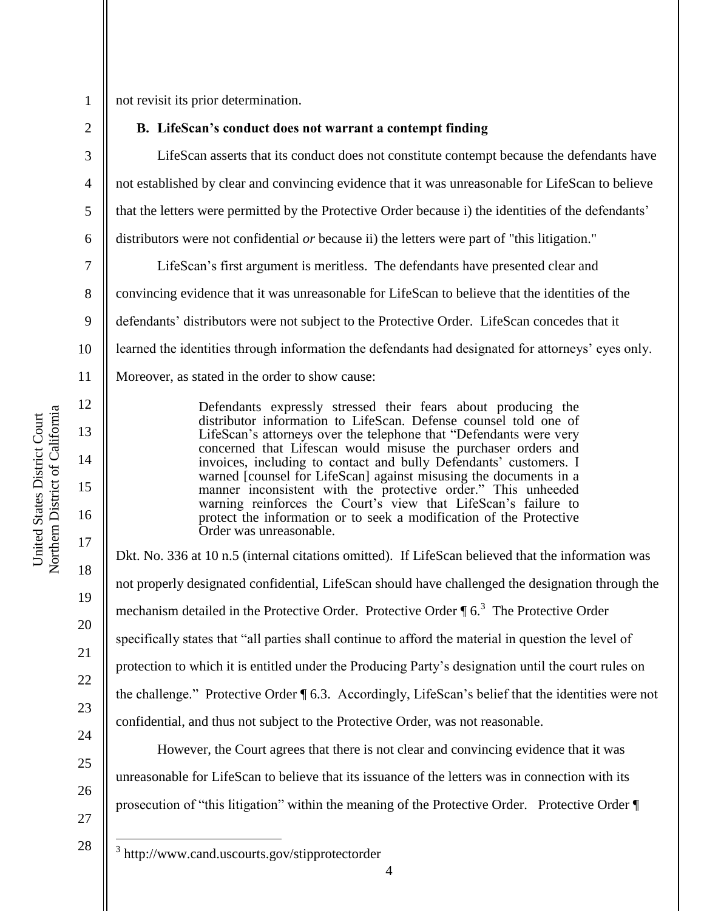3

4

5

6

7

8

9

11

12

13

14

15

16

17

18

19

20

21

22

23

24

25

26

27

 $\overline{a}$ 

not revisit its prior determination.

### **B. LifeScan's conduct does not warrant a contempt finding**

LifeScan asserts that its conduct does not constitute contempt because the defendants have not established by clear and convincing evidence that it was unreasonable for LifeScan to believe that the letters were permitted by the Protective Order because i) the identities of the defendants' distributors were not confidential *or* because ii) the letters were part of "this litigation."

10 LifeScan's first argument is meritless. The defendants have presented clear and convincing evidence that it was unreasonable for LifeScan to believe that the identities of the defendants' distributors were not subject to the Protective Order. LifeScan concedes that it learned the identities through information the defendants had designated for attorneys' eyes only. Moreover, as stated in the order to show cause:

> Defendants expressly stressed their fears about producing the distributor information to LifeScan. Defense counsel told one of LifeScan's attorneys over the telephone that "Defendants were very concerned that Lifescan would misuse the purchaser orders and invoices, including to contact and bully Defendants' customers. I warned [counsel for LifeScan] against misusing the documents in a manner inconsistent with the protective order." This unheeded warning reinforces the Court's view that LifeScan's failure to protect the information or to seek a modification of the Protective Order was unreasonable.

Dkt. No. 336 at 10 n.5 (internal citations omitted). If LifeScan believed that the information was not properly designated confidential, LifeScan should have challenged the designation through the mechanism detailed in the Protective Order. Protective Order  $\P$  6.<sup>3</sup> The Protective Order specifically states that "all parties shall continue to afford the material in question the level of protection to which it is entitled under the Producing Party's designation until the court rules on the challenge." Protective Order ¶ 6.3. Accordingly, LifeScan's belief that the identities were not confidential, and thus not subject to the Protective Order, was not reasonable.

However, the Court agrees that there is not clear and convincing evidence that it was unreasonable for LifeScan to believe that its issuance of the letters was in connection with its prosecution of "this litigation" within the meaning of the Protective Order. Protective Order  $\P$ 

Northern District of California Northern District of California United States District Court United States District Court

<sup>&</sup>lt;sup>3</sup> http://www.cand.uscourts.gov/stipprotectorder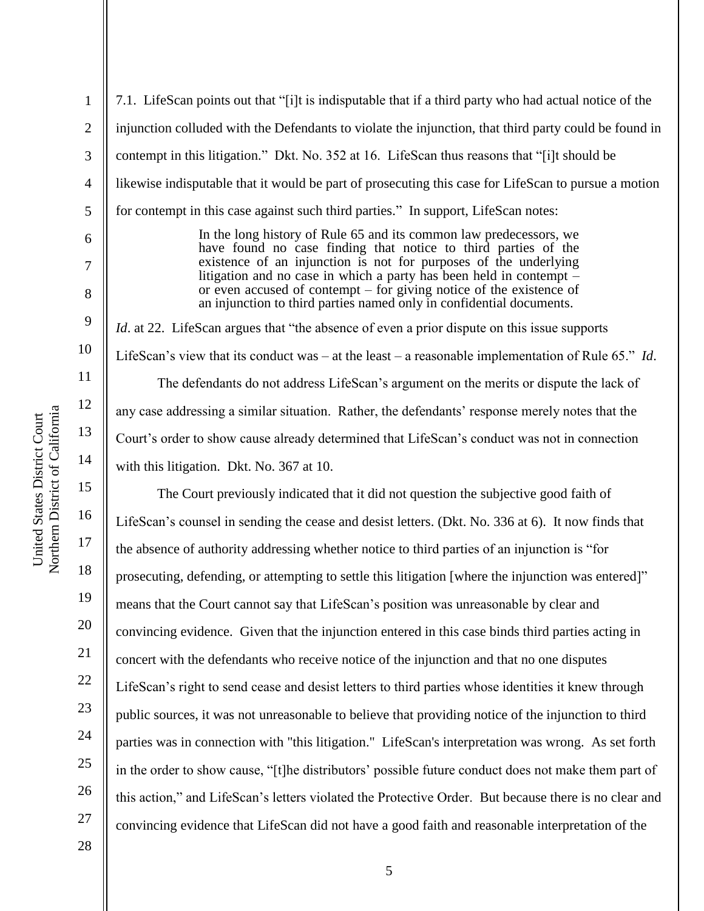2

3

4

5

6

7

8

9

10

11

12

13

14

15

16

17

18

19

20

21

22

23

24

25

26

27

7.1. LifeScan points out that "[i]t is indisputable that if a third party who had actual notice of the injunction colluded with the Defendants to violate the injunction, that third party could be found in contempt in this litigation." Dkt. No. 352 at 16. LifeScan thus reasons that "[i]t should be likewise indisputable that it would be part of prosecuting this case for LifeScan to pursue a motion for contempt in this case against such third parties." In support, LifeScan notes:

> In the long history of Rule 65 and its common law predecessors, we have found no case finding that notice to third parties of the existence of an injunction is not for purposes of the underlying litigation and no case in which a party has been held in contempt – or even accused of contempt – for giving notice of the existence of an injunction to third parties named only in confidential documents.

*Id.* at 22. LifeScan argues that "the absence of even a prior dispute on this issue supports LifeScan's view that its conduct was – at the least – a reasonable implementation of Rule 65.<sup>n</sup> *Id*. The defendants do not address LifeScan's argument on the merits or dispute the lack of any case addressing a similar situation. Rather, the defendants' response merely notes that the Court's order to show cause already determined that LifeScan's conduct was not in connection with this litigation. Dkt. No. 367 at 10.

The Court previously indicated that it did not question the subjective good faith of LifeScan's counsel in sending the cease and desist letters. (Dkt. No. 336 at 6). It now finds that the absence of authority addressing whether notice to third parties of an injunction is "for prosecuting, defending, or attempting to settle this litigation [where the injunction was entered]" means that the Court cannot say that LifeScan's position was unreasonable by clear and convincing evidence. Given that the injunction entered in this case binds third parties acting in concert with the defendants who receive notice of the injunction and that no one disputes LifeScan's right to send cease and desist letters to third parties whose identities it knew through public sources, it was not unreasonable to believe that providing notice of the injunction to third parties was in connection with "this litigation." LifeScan's interpretation was wrong. As set forth in the order to show cause, "[t]he distributors' possible future conduct does not make them part of this action,‖ and LifeScan's letters violated the Protective Order. But because there is no clear and convincing evidence that LifeScan did not have a good faith and reasonable interpretation of the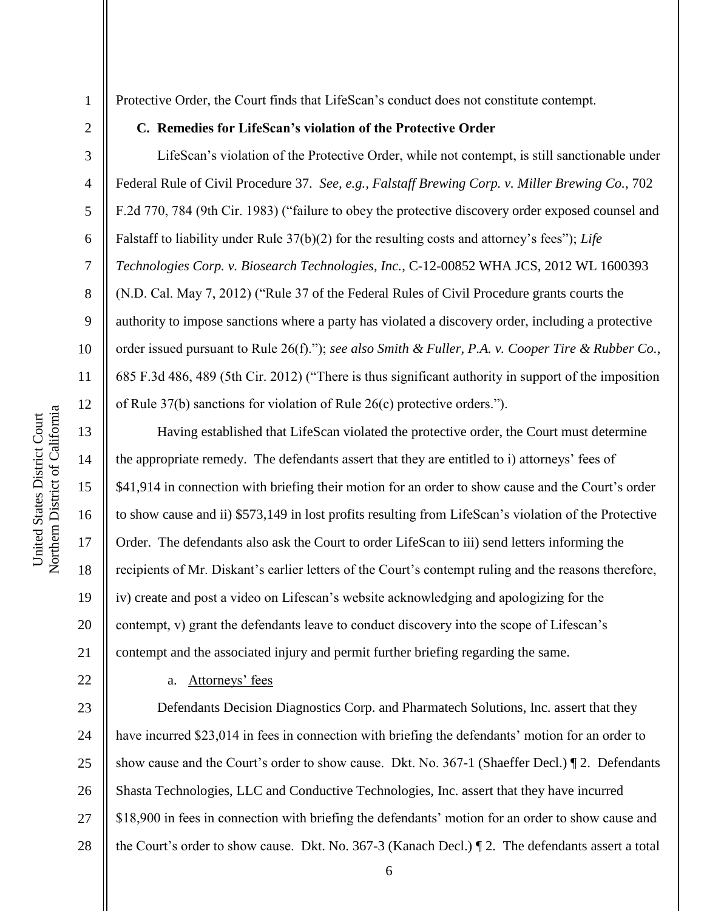2

3

4

5

6

7

8

9

10

11

12

13

14

15

16

17

18

19

20

21

22

Protective Order, the Court finds that LifeScan's conduct does not constitute contempt.

### **C. Remedies for LifeScan's violation of the Protective Order**

LifeScan's violation of the Protective Order, while not contempt, is still sanctionable under Federal Rule of Civil Procedure 37. *See, e.g., Falstaff Brewing Corp. v. Miller Brewing Co.*, 702 F.2d 770, 784 (9th Cir. 1983) ("failure to obey the protective discovery order exposed counsel and Falstaff to liability under Rule 37(b)(2) for the resulting costs and attorney's fees"); *Life Technologies Corp. v. Biosearch Technologies, Inc.*, C-12-00852 WHA JCS, 2012 WL 1600393  $(N.D. Cal. May 7, 2012)$  ("Rule 37 of the Federal Rules of Civil Procedure grants courts the authority to impose sanctions where a party has violated a discovery order, including a protective order issued pursuant to Rule 26(f)."); *see also Smith & Fuller, P.A. v. Cooper Tire & Rubber Co.*, 685 F.3d 486, 489 (5th Cir. 2012) ("There is thus significant authority in support of the imposition of Rule 37(b) sanctions for violation of Rule  $26(c)$  protective orders.").

Having established that LifeScan violated the protective order, the Court must determine the appropriate remedy. The defendants assert that they are entitled to i) attorneys' fees of \$41,914 in connection with briefing their motion for an order to show cause and the Court's order to show cause and ii) \$573,149 in lost profits resulting from LifeScan's violation of the Protective Order. The defendants also ask the Court to order LifeScan to iii) send letters informing the recipients of Mr. Diskant's earlier letters of the Court's contempt ruling and the reasons therefore, iv) create and post a video on Lifescan's website acknowledging and apologizing for the contempt, v) grant the defendants leave to conduct discovery into the scope of Lifescan's contempt and the associated injury and permit further briefing regarding the same.

a. Attorneys' fees

23 24 25 26 27 28 Defendants Decision Diagnostics Corp. and Pharmatech Solutions, Inc. assert that they have incurred \$23,014 in fees in connection with briefing the defendants' motion for an order to show cause and the Court's order to show cause. Dkt. No. 367-1 (Shaeffer Decl.) ¶ 2. Defendants Shasta Technologies, LLC and Conductive Technologies, Inc. assert that they have incurred \$18,900 in fees in connection with briefing the defendants' motion for an order to show cause and the Court's order to show cause. Dkt. No. 367-3 (Kanach Decl.) ¶ 2. The defendants assert a total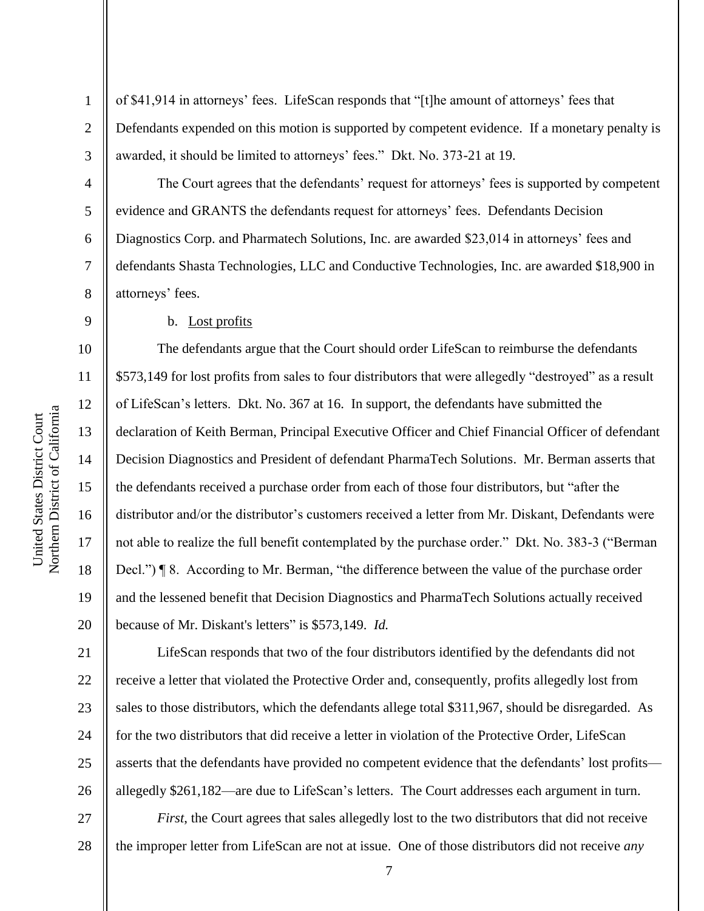2

3

4

5

6

7

8

9

10

11

12

13

14

15

16

17

18

19

20

21

22

23

24

25

26

of \$41,914 in attorneys' fees. LifeScan responds that "[t]he amount of attorneys' fees that Defendants expended on this motion is supported by competent evidence. If a monetary penalty is awarded, it should be limited to attorneys' fees." Dkt. No. 373-21 at 19.

The Court agrees that the defendants' request for attorneys' fees is supported by competent evidence and GRANTS the defendants request for attorneys' fees. Defendants Decision Diagnostics Corp. and Pharmatech Solutions, Inc. are awarded \$23,014 in attorneys' fees and defendants Shasta Technologies, LLC and Conductive Technologies, Inc. are awarded \$18,900 in attorneys' fees.

#### b. Lost profits

The defendants argue that the Court should order LifeScan to reimburse the defendants \$573,149 for lost profits from sales to four distributors that were allegedly "destroyed" as a result of LifeScan's letters. Dkt. No. 367 at 16. In support, the defendants have submitted the declaration of Keith Berman, Principal Executive Officer and Chief Financial Officer of defendant Decision Diagnostics and President of defendant PharmaTech Solutions. Mr. Berman asserts that the defendants received a purchase order from each of those four distributors, but "after the distributor and/or the distributor's customers received a letter from Mr. Diskant, Defendants were not able to realize the full benefit contemplated by the purchase order." Dkt. No. 383-3 ("Berman Decl.")  $\P 8$ . According to Mr. Berman, "the difference between the value of the purchase order and the lessened benefit that Decision Diagnostics and PharmaTech Solutions actually received because of Mr. Diskant's letters" is \$573,149. *Id.* 

LifeScan responds that two of the four distributors identified by the defendants did not receive a letter that violated the Protective Order and, consequently, profits allegedly lost from sales to those distributors, which the defendants allege total \$311,967, should be disregarded. As for the two distributors that did receive a letter in violation of the Protective Order, LifeScan asserts that the defendants have provided no competent evidence that the defendants' lost profits allegedly \$261,182—are due to LifeScan's letters. The Court addresses each argument in turn.

27 28 *First*, the Court agrees that sales allegedly lost to the two distributors that did not receive the improper letter from LifeScan are not at issue. One of those distributors did not receive *any*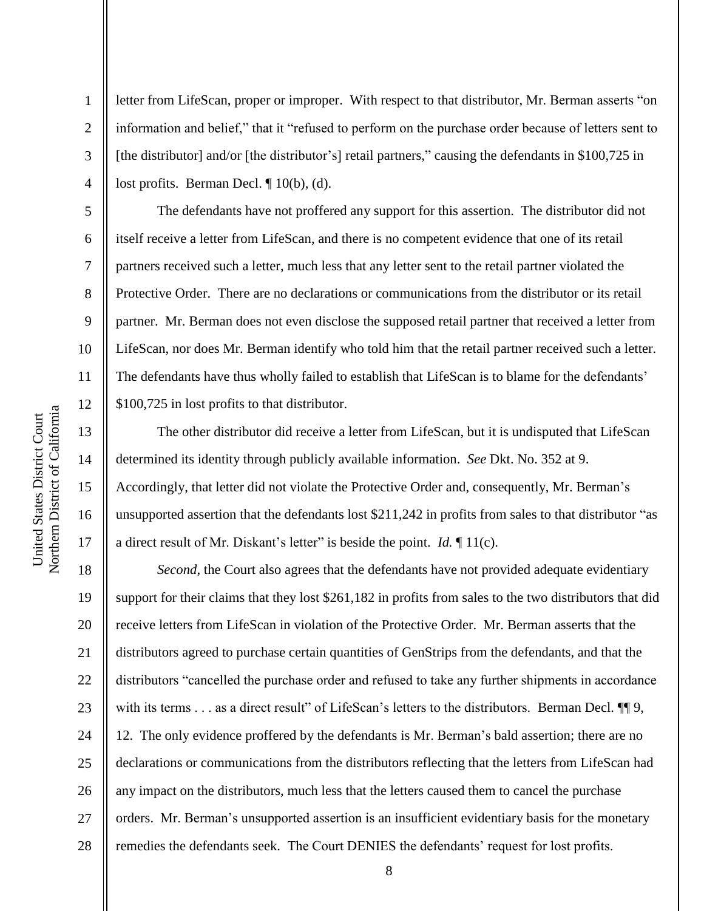2

3

4

5

6

7

8

9

10

11

12

13

14

15

16

17

letter from LifeScan, proper or improper. With respect to that distributor, Mr. Berman asserts "on information and belief," that it "refused to perform on the purchase order because of letters sent to [the distributor] and/or [the distributor's] retail partners," causing the defendants in  $$100,725$  in lost profits. Berman Decl. ¶ 10(b), (d).

The defendants have not proffered any support for this assertion. The distributor did not itself receive a letter from LifeScan, and there is no competent evidence that one of its retail partners received such a letter, much less that any letter sent to the retail partner violated the Protective Order. There are no declarations or communications from the distributor or its retail partner. Mr. Berman does not even disclose the supposed retail partner that received a letter from LifeScan, nor does Mr. Berman identify who told him that the retail partner received such a letter. The defendants have thus wholly failed to establish that LifeScan is to blame for the defendants' \$100,725 in lost profits to that distributor.

The other distributor did receive a letter from LifeScan, but it is undisputed that LifeScan determined its identity through publicly available information. *See* Dkt. No. 352 at 9. Accordingly, that letter did not violate the Protective Order and, consequently, Mr. Berman's unsupported assertion that the defendants lost \$211,242 in profits from sales to that distributor "as a direct result of Mr. Diskant's letter" is beside the point. *Id.*  $\P$  11(c).

18 19 20 21 22 23 24 25 26 27 28 *Second*, the Court also agrees that the defendants have not provided adequate evidentiary support for their claims that they lost \$261,182 in profits from sales to the two distributors that did receive letters from LifeScan in violation of the Protective Order. Mr. Berman asserts that the distributors agreed to purchase certain quantities of GenStrips from the defendants, and that the distributors "cancelled the purchase order and refused to take any further shipments in accordance with its terms . . . as a direct result" of LifeScan's letters to the distributors. Berman Decl.  $\P$  9, 12. The only evidence proffered by the defendants is Mr. Berman's bald assertion; there are no declarations or communications from the distributors reflecting that the letters from LifeScan had any impact on the distributors, much less that the letters caused them to cancel the purchase orders. Mr. Berman's unsupported assertion is an insufficient evidentiary basis for the monetary remedies the defendants seek. The Court DENIES the defendants' request for lost profits.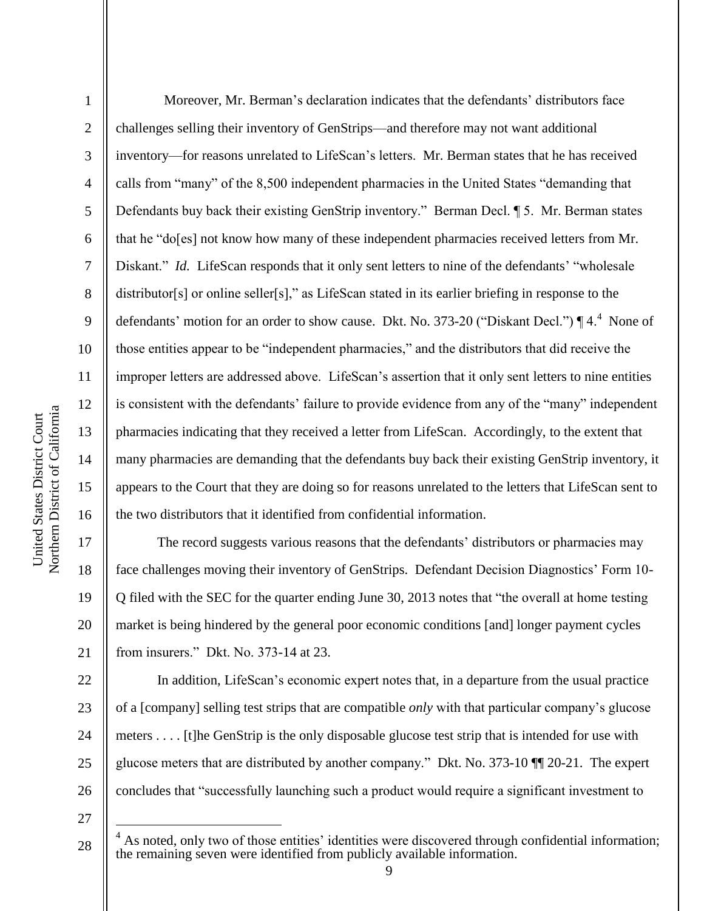Northern District of California Northern District of California United States District Court United States District Court

17

18

19

20

21

22

23

24

25

26

1 2 3 4 5 6 7 8 9 10 11 12 13 14 15 16 Moreover, Mr. Berman's declaration indicates that the defendants' distributors face challenges selling their inventory of GenStrips—and therefore may not want additional inventory—for reasons unrelated to LifeScan's letters. Mr. Berman states that he has received calls from "many" of the 8,500 independent pharmacies in the United States "demanding that Defendants buy back their existing GenStrip inventory." Berman Decl. ¶ 5. Mr. Berman states that he "do[es] not know how many of these independent pharmacies received letters from Mr. Diskant." *Id.* LifeScan responds that it only sent letters to nine of the defendants' "wholesale"  $distributor[s]$  or online seller[s]," as LifeScan stated in its earlier briefing in response to the defendants' motion for an order to show cause. Dkt. No. 373-20 ("Diskant Decl.")  $\P$  4.<sup>4</sup> None of those entities appear to be "independent pharmacies," and the distributors that did receive the improper letters are addressed above. LifeScan's assertion that it only sent letters to nine entities is consistent with the defendants' failure to provide evidence from any of the "many" independent pharmacies indicating that they received a letter from LifeScan. Accordingly, to the extent that many pharmacies are demanding that the defendants buy back their existing GenStrip inventory, it appears to the Court that they are doing so for reasons unrelated to the letters that LifeScan sent to the two distributors that it identified from confidential information.

The record suggests various reasons that the defendants' distributors or pharmacies may face challenges moving their inventory of GenStrips. Defendant Decision Diagnostics' Form 10- Q filed with the SEC for the quarter ending June 30, 2013 notes that "the overall at home testing market is being hindered by the general poor economic conditions [and] longer payment cycles from insurers.‖ Dkt. No. 373-14 at 23.

In addition, LifeScan's economic expert notes that, in a departure from the usual practice of a [company] selling test strips that are compatible *only* with that particular company's glucose meters . . . . [t]he GenStrip is the only disposable glucose test strip that is intended for use with glucose meters that are distributed by another company." Dkt. No.  $373-10$   $\blacksquare$  20-21. The expert concludes that "successfully launching such a product would require a significant investment to

27

 $\overline{a}$ 

<sup>28</sup>  $4$  As noted, only two of those entities' identities were discovered through confidential information; the remaining seven were identified from publicly available information.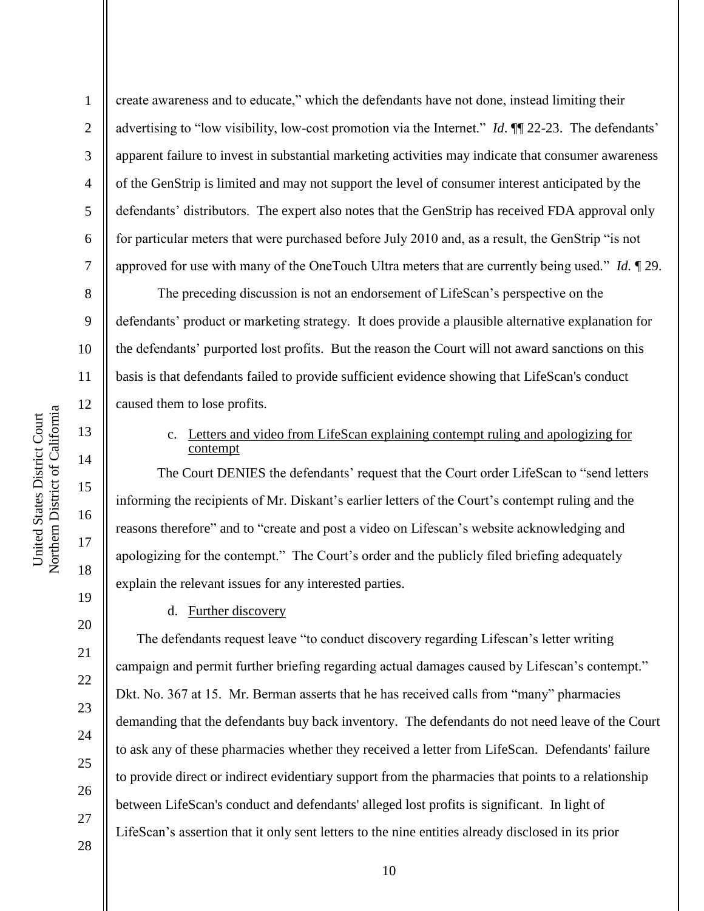2

3

4

5

6

7

8

9

10

11

12

13

14

15

16

17

18

19

20

21

22

23

24

25

26

27

create awareness and to educate," which the defendants have not done, instead limiting their advertising to "low visibility, low-cost promotion via the Internet." *Id.* ¶ 22-23. The defendants' apparent failure to invest in substantial marketing activities may indicate that consumer awareness of the GenStrip is limited and may not support the level of consumer interest anticipated by the defendants' distributors. The expert also notes that the GenStrip has received FDA approval only for particular meters that were purchased before July 2010 and, as a result, the GenStrip "is not approved for use with many of the OneTouch Ultra meters that are currently being used." *Id.*  $\P$  29.

The preceding discussion is not an endorsement of LifeScan's perspective on the defendants' product or marketing strategy. It does provide a plausible alternative explanation for the defendants' purported lost profits. But the reason the Court will not award sanctions on this basis is that defendants failed to provide sufficient evidence showing that LifeScan's conduct caused them to lose profits.

### c. Letters and video from LifeScan explaining contempt ruling and apologizing for contempt

The Court DENIES the defendants' request that the Court order LifeScan to "send letters informing the recipients of Mr. Diskant's earlier letters of the Court's contempt ruling and the reasons therefore" and to "create and post a video on Lifescan's website acknowledging and apologizing for the contempt." The Court's order and the publicly filed briefing adequately explain the relevant issues for any interested parties.

## d. Further discovery

The defendants request leave "to conduct discovery regarding Lifescan's letter writing campaign and permit further briefing regarding actual damages caused by Lifescan's contempt." Dkt. No. 367 at 15. Mr. Berman asserts that he has received calls from "many" pharmacies demanding that the defendants buy back inventory. The defendants do not need leave of the Court to ask any of these pharmacies whether they received a letter from LifeScan. Defendants' failure to provide direct or indirect evidentiary support from the pharmacies that points to a relationship between LifeScan's conduct and defendants' alleged lost profits is significant. In light of LifeScan's assertion that it only sent letters to the nine entities already disclosed in its prior